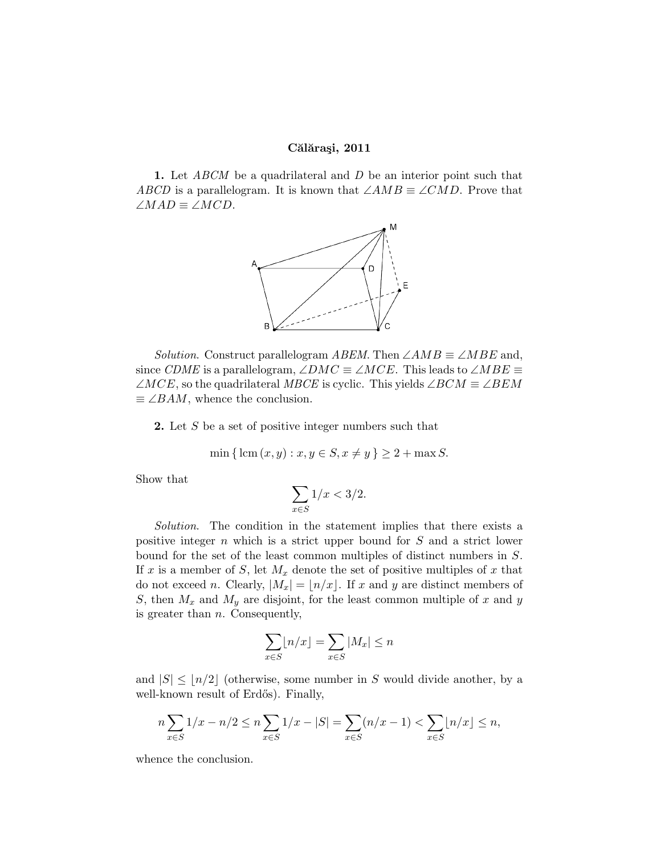## Călărași, 2011

**1.** Let ABCM be a quadrilateral and D be an interior point such that ABCD is a parallelogram. It is known that  $\angle AMB \equiv \angle CMD$ . Prove that  $\angle MAD \equiv \angle MCD$ .



Solution. Construct parallelogram ABEM. Then  $\angle AMB \equiv \angle MBE$  and, since CDME is a parallelogram,  $\angle DMC \equiv \angle MCE$ . This leads to  $\angle MBE \equiv$  $\angle MCE$ , so the quadrilateral MBCE is cyclic. This yields  $\angle BCM \equiv \angle BEM$  $\equiv \angle BAM$ , whence the conclusion.

2. Let S be a set of positive integer numbers such that

min { lcm
$$
(x, y) : x, y \in S, x \neq y
$$
 }  $\geq 2 + \max S$ .

Show that

$$
\sum_{x \in S} 1/x < 3/2.
$$

Solution. The condition in the statement implies that there exists a positive integer n which is a strict upper bound for S and a strict lower bound for the set of the least common multiples of distinct numbers in S. If x is a member of S, let  $M_x$  denote the set of positive multiples of x that do not exceed n. Clearly,  $|M_x| = |n/x|$ . If x and y are distinct members of S, then  $M_x$  and  $M_y$  are disjoint, for the least common multiple of x and y is greater than  $n$ . Consequently,

$$
\sum_{x \in S} \lfloor n/x \rfloor = \sum_{x \in S} |M_x| \le n
$$

and  $|S| \leq |n/2|$  (otherwise, some number in S would divide another, by a well-known result of Erdős). Finally,

$$
n\sum_{x\in S} 1/x - n/2 \le n\sum_{x\in S} 1/x - |S| = \sum_{x\in S} (n/x - 1) < \sum_{x\in S} \lfloor n/x \rfloor \le n,
$$

whence the conclusion.